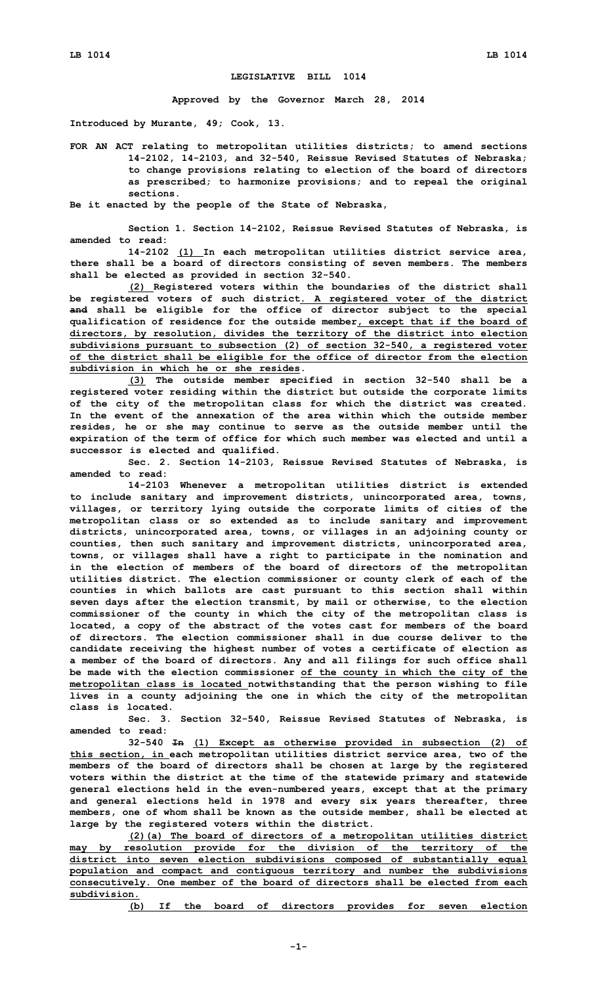## **LEGISLATIVE BILL 1014**

**Approved by the Governor March 28, 2014**

**Introduced by Murante, 49; Cook, 13.**

**FOR AN ACT relating to metropolitan utilities districts; to amend sections 14-2102, 14-2103, and 32-540, Reissue Revised Statutes of Nebraska; to change provisions relating to election of the board of directors as prescribed; to harmonize provisions; and to repeal the original sections.**

**Be it enacted by the people of the State of Nebraska,**

**Section 1. Section 14-2102, Reissue Revised Statutes of Nebraska, is amended to read:**

**14-2102 (1) In each metropolitan utilities district service area, there shall be <sup>a</sup> board of directors consisting of seven members. The members shall be elected as provided in section 32-540.**

**(2) Registered voters within the boundaries of the district shall be registered voters of such district. A registered voter of the district and shall be eligible for the office of director subject to the special qualification of residence for the outside member, except that if the board of directors, by resolution, divides the territory of the district into election subdivisions pursuant to subsection (2) of section 32-540, <sup>a</sup> registered voter of the district shall be eligible for the office of director from the election subdivision in which he or she resides.**

**(3) The outside member specified in section 32-540 shall be <sup>a</sup> registered voter residing within the district but outside the corporate limits of the city of the metropolitan class for which the district was created. In the event of the annexation of the area within which the outside member resides, he or she may continue to serve as the outside member until the expiration of the term of office for which such member was elected and until <sup>a</sup> successor is elected and qualified.**

**Sec. 2. Section 14-2103, Reissue Revised Statutes of Nebraska, is amended to read:**

**14-2103 Whenever <sup>a</sup> metropolitan utilities district is extended to include sanitary and improvement districts, unincorporated area, towns, villages, or territory lying outside the corporate limits of cities of the metropolitan class or so extended as to include sanitary and improvement districts, unincorporated area, towns, or villages in an adjoining county or counties, then such sanitary and improvement districts, unincorporated area, towns, or villages shall have <sup>a</sup> right to participate in the nomination and in the election of members of the board of directors of the metropolitan utilities district. The election commissioner or county clerk of each of the counties in which ballots are cast pursuant to this section shall within seven days after the election transmit, by mail or otherwise, to the election commissioner of the county in which the city of the metropolitan class is located, <sup>a</sup> copy of the abstract of the votes cast for members of the board of directors. The election commissioner shall in due course deliver to the candidate receiving the highest number of votes <sup>a</sup> certificate of election as <sup>a</sup> member of the board of directors. Any and all filings for such office shall be made with the election commissioner of the county in which the city of the metropolitan class is located notwithstanding that the person wishing to file lives in <sup>a</sup> county adjoining the one in which the city of the metropolitan class is located.**

**Sec. 3. Section 32-540, Reissue Revised Statutes of Nebraska, is amended to read:**

**32-540 In (1) Except as otherwise provided in subsection (2) of this section, in each metropolitan utilities district service area, two of the members of the board of directors shall be chosen at large by the registered voters within the district at the time of the statewide primary and statewide general elections held in the even-numbered years, except that at the primary and general elections held in 1978 and every six years thereafter, three members, one of whom shall be known as the outside member, shall be elected at large by the registered voters within the district.**

**(2)(a) The board of directors of <sup>a</sup> metropolitan utilities district may by resolution provide for the division of the territory of the district into seven election subdivisions composed of substantially equal population and compact and contiguous territory and number the subdivisions consecutively. One member of the board of directors shall be elected from each subdivision.**

**(b) If the board of directors provides for seven election**